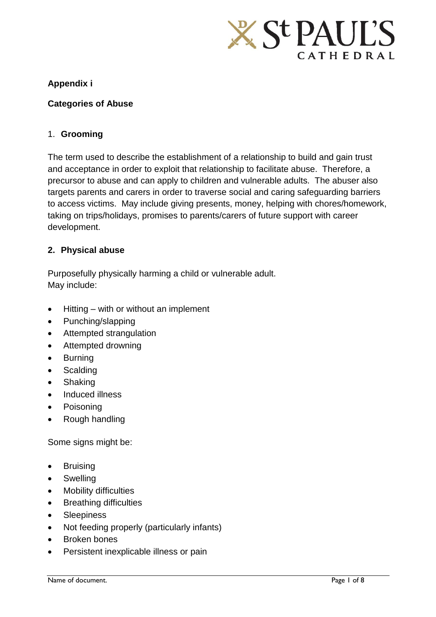

# **Appendix i**

## **Categories of Abuse**

## 1. **Grooming**

The term used to describe the establishment of a relationship to build and gain trust and acceptance in order to exploit that relationship to facilitate abuse. Therefore, a precursor to abuse and can apply to children and vulnerable adults. The abuser also targets parents and carers in order to traverse social and caring safeguarding barriers to access victims. May include giving presents, money, helping with chores/homework, taking on trips/holidays, promises to parents/carers of future support with career development.

## **2. Physical abuse**

Purposefully physically harming a child or vulnerable adult. May include:

- Hitting with or without an implement
- Punching/slapping
- Attempted strangulation
- Attempted drowning
- Burning
- **Scalding**
- **Shaking**
- Induced illness
- Poisoning
- Rough handling

Some signs might be:

- Bruising
- Swelling
- Mobility difficulties
- Breathing difficulties
- Sleepiness
- Not feeding properly (particularly infants)
- Broken bones
- Persistent inexplicable illness or pain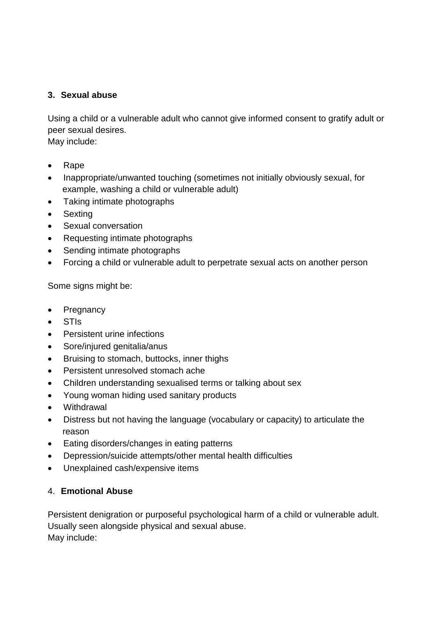# **3. Sexual abuse**

Using a child or a vulnerable adult who cannot give informed consent to gratify adult or peer sexual desires.

May include:

- Rape
- Inappropriate/unwanted touching (sometimes not initially obviously sexual, for example, washing a child or vulnerable adult)
- Taking intimate photographs
- Sexting
- Sexual conversation
- Requesting intimate photographs
- Sending intimate photographs
- Forcing a child or vulnerable adult to perpetrate sexual acts on another person

Some signs might be:

- Pregnancy
- STIs
- Persistent urine infections
- Sore/injured genitalia/anus
- Bruising to stomach, buttocks, inner thighs
- Persistent unresolved stomach ache
- Children understanding sexualised terms or talking about sex
- Young woman hiding used sanitary products
- Withdrawal
- Distress but not having the language (vocabulary or capacity) to articulate the reason
- Eating disorders/changes in eating patterns
- Depression/suicide attempts/other mental health difficulties
- Unexplained cash/expensive items

## 4. **Emotional Abuse**

Persistent denigration or purposeful psychological harm of a child or vulnerable adult. Usually seen alongside physical and sexual abuse. May include: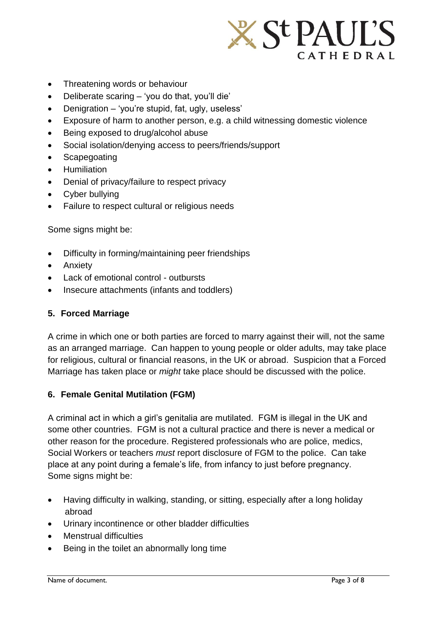

- Threatening words or behaviour
- $\bullet$  Deliberate scaring  $-$  'you do that, you'll die'
- Denigration 'you're stupid, fat, ugly, useless'
- Exposure of harm to another person, e.g. a child witnessing domestic violence
- Being exposed to drug/alcohol abuse
- Social isolation/denying access to peers/friends/support
- Scapegoating
- **•** Humiliation
- Denial of privacy/failure to respect privacy
- Cyber bullying
- Failure to respect cultural or religious needs

Some signs might be:

- Difficulty in forming/maintaining peer friendships
- Anxiety
- Lack of emotional control outbursts
- Insecure attachments (infants and toddlers)

#### **5. Forced Marriage**

A crime in which one or both parties are forced to marry against their will, not the same as an arranged marriage. Can happen to young people or older adults, may take place for religious, cultural or financial reasons, in the UK or abroad. Suspicion that a Forced Marriage has taken place or *might* take place should be discussed with the police.

#### **6. Female Genital Mutilation (FGM)**

A criminal act in which a girl's genitalia are mutilated. FGM is illegal in the UK and some other countries. FGM is not a cultural practice and there is never a medical or other reason for the procedure. Registered professionals who are police, medics, Social Workers or teachers *must* report disclosure of FGM to the police. Can take place at any point during a female's life, from infancy to just before pregnancy. Some signs might be:

- Having difficulty in walking, standing, or sitting, especially after a long holiday abroad
- Urinary incontinence or other bladder difficulties
- Menstrual difficulties
- Being in the toilet an abnormally long time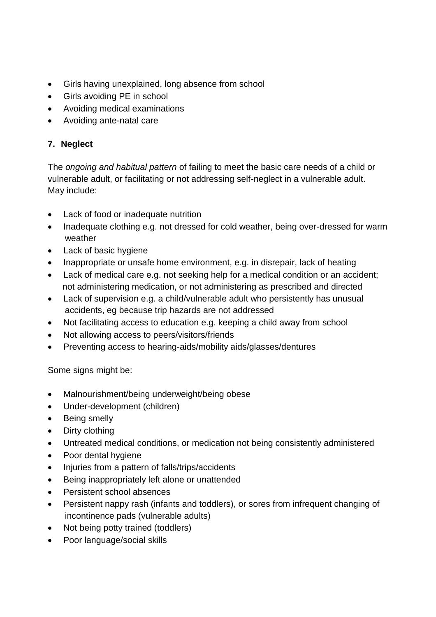- Girls having unexplained, long absence from school
- Girls avoiding PE in school
- Avoiding medical examinations
- Avoiding ante-natal care

# **7. Neglect**

The *ongoing and habitual pattern* of failing to meet the basic care needs of a child or vulnerable adult, or facilitating or not addressing self-neglect in a vulnerable adult. May include:

- Lack of food or inadequate nutrition
- Inadequate clothing e.g. not dressed for cold weather, being over-dressed for warm weather
- Lack of basic hygiene
- Inappropriate or unsafe home environment, e.g. in disrepair, lack of heating
- Lack of medical care e.g. not seeking help for a medical condition or an accident; not administering medication, or not administering as prescribed and directed
- Lack of supervision e.g. a child/vulnerable adult who persistently has unusual accidents, eg because trip hazards are not addressed
- Not facilitating access to education e.g. keeping a child away from school
- Not allowing access to peers/visitors/friends
- Preventing access to hearing-aids/mobility aids/glasses/dentures

Some signs might be:

- Malnourishment/being underweight/being obese
- Under-development (children)
- Being smelly
- Dirty clothing
- Untreated medical conditions, or medication not being consistently administered
- Poor dental hygiene
- Injuries from a pattern of falls/trips/accidents
- Being inappropriately left alone or unattended
- Persistent school absences
- Persistent nappy rash (infants and toddlers), or sores from infrequent changing of incontinence pads (vulnerable adults)
- Not being potty trained (toddlers)
- Poor language/social skills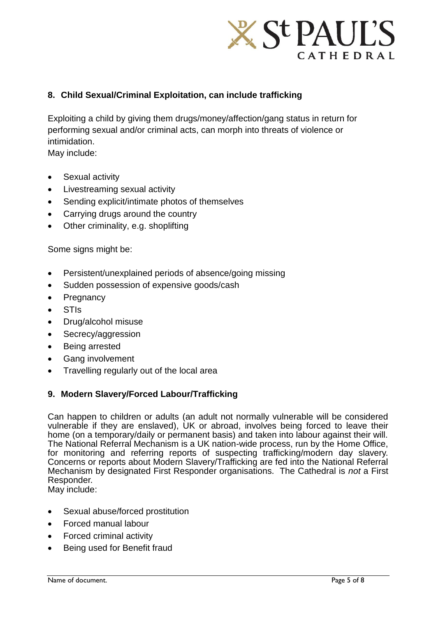

## **8. Child Sexual/Criminal Exploitation, can include trafficking**

Exploiting a child by giving them drugs/money/affection/gang status in return for performing sexual and/or criminal acts, can morph into threats of violence or intimidation. May include:

Sexual activity

- Livestreaming sexual activity
- Sending explicit/intimate photos of themselves
- Carrying drugs around the country
- Other criminality, e.g. shoplifting

Some signs might be:

- Persistent/unexplained periods of absence/going missing
- Sudden possession of expensive goods/cash
- **Pregnancy**
- STIs
- Drug/alcohol misuse
- Secrecy/aggression
- Being arrested
- Gang involvement
- Travelling regularly out of the local area

## **9. Modern Slavery/Forced Labour/Trafficking**

Can happen to children or adults (an adult not normally vulnerable will be considered vulnerable if they are enslaved), UK or abroad, involves being forced to leave their home (on a temporary/daily or permanent basis) and taken into labour against their will. The National Referral Mechanism is a UK nation-wide process, run by the Home Office, for monitoring and referring reports of suspecting trafficking/modern day slavery. Concerns or reports about Modern Slavery/Trafficking are fed into the National Referral Mechanism by designated First Responder organisations. The Cathedral is *not* a First Responder.

May include:

- Sexual abuse/forced prostitution
- Forced manual labour
- Forced criminal activity
- Being used for Benefit fraud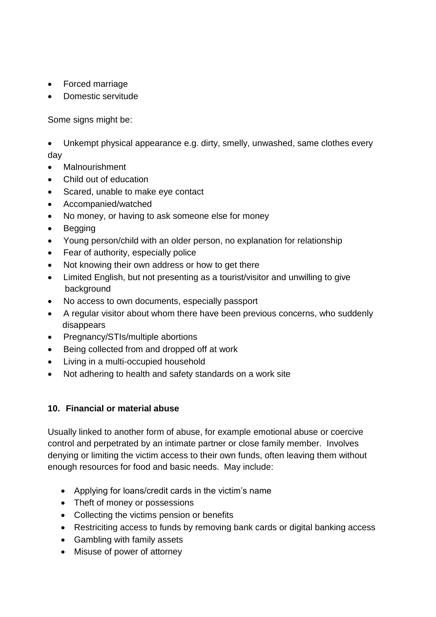- Forced marriage
- Domestic servitude

Some signs might be:

- Unkempt physical appearance e.g. dirty, smelly, unwashed, same clothes every day
- Malnourishment
- Child out of education
- Scared, unable to make eye contact
- Accompanied/watched
- No money, or having to ask someone else for money
- Begging
- Young person/child with an older person, no explanation for relationship
- Fear of authority, especially police
- Not knowing their own address or how to get there
- Limited English, but not presenting as a tourist/visitor and unwilling to give background
- No access to own documents, especially passport
- A regular visitor about whom there have been previous concerns, who suddenly disappears
- Pregnancy/STIs/multiple abortions
- Being collected from and dropped off at work
- Living in a multi-occupied household
- Not adhering to health and safety standards on a work site

## **10. Financial or material abuse**

Usually linked to another form of abuse, for example emotional abuse or coercive control and perpetrated by an intimate partner or close family member. Involves denying or limiting the victim access to their own funds, often leaving them without enough resources for food and basic needs. May include:

- Applying for loans/credit cards in the victim's name
- Theft of money or possessions
- Collecting the victims pension or benefits
- Restriciting access to funds by removing bank cards or digital banking access
- Gambling with family assets
- Misuse of power of attorney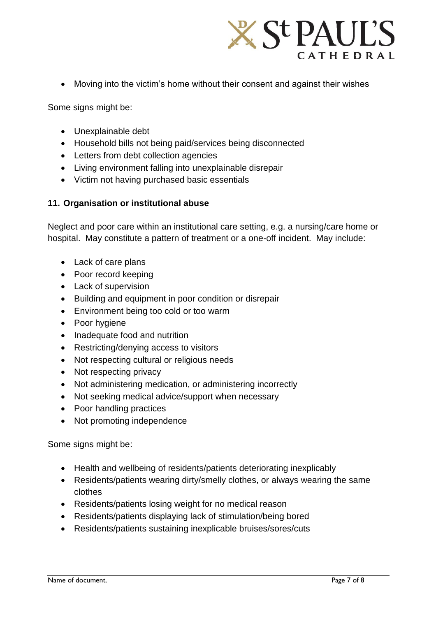

Moving into the victim's home without their consent and against their wishes

Some signs might be:

- Unexplainable debt
- Household bills not being paid/services being disconnected
- Letters from debt collection agencies
- Living environment falling into unexplainable disrepair
- Victim not having purchased basic essentials

#### **11. Organisation or institutional abuse**

Neglect and poor care within an institutional care setting, e.g. a nursing/care home or hospital. May constitute a pattern of treatment or a one-off incident. May include:

- Lack of care plans
- Poor record keeping
- Lack of supervision
- Building and equipment in poor condition or disrepair
- Environment being too cold or too warm
- Poor hygiene
- Inadequate food and nutrition
- Restricting/denying access to visitors
- Not respecting cultural or religious needs
- Not respecting privacy
- Not administering medication, or administering incorrectly
- Not seeking medical advice/support when necessary
- Poor handling practices
- Not promoting independence

Some signs might be:

- Health and wellbeing of residents/patients deteriorating inexplicably
- Residents/patients wearing dirty/smelly clothes, or always wearing the same clothes
- Residents/patients losing weight for no medical reason
- Residents/patients displaying lack of stimulation/being bored
- Residents/patients sustaining inexplicable bruises/sores/cuts